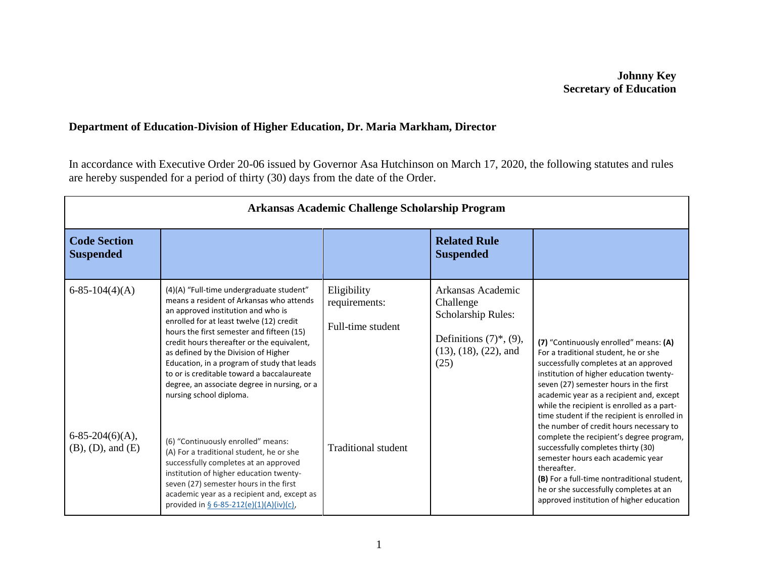## **Johnny Key Secretary of Education**

## **Department of Education-Division of Higher Education, Dr. Maria Markham, Director**

In accordance with Executive Order 20-06 issued by Governor Asa Hutchinson on March 17, 2020, the following statutes and rules are hereby suspended for a period of thirty (30) days from the date of the Order.

| Arkansas Academic Challenge Scholarship Program                    |                                                                                                                                                                                                                                                                                                                                                                                                                                                                                                                                                                                                                                                                                                                                                                                             |                                                                                 |                                                                                                                                            |                                                                                                                                                                                                                                                                                                                                                                                                                                                                                                                                                                                                                                                                              |  |
|--------------------------------------------------------------------|---------------------------------------------------------------------------------------------------------------------------------------------------------------------------------------------------------------------------------------------------------------------------------------------------------------------------------------------------------------------------------------------------------------------------------------------------------------------------------------------------------------------------------------------------------------------------------------------------------------------------------------------------------------------------------------------------------------------------------------------------------------------------------------------|---------------------------------------------------------------------------------|--------------------------------------------------------------------------------------------------------------------------------------------|------------------------------------------------------------------------------------------------------------------------------------------------------------------------------------------------------------------------------------------------------------------------------------------------------------------------------------------------------------------------------------------------------------------------------------------------------------------------------------------------------------------------------------------------------------------------------------------------------------------------------------------------------------------------------|--|
| <b>Code Section</b><br><b>Suspended</b>                            |                                                                                                                                                                                                                                                                                                                                                                                                                                                                                                                                                                                                                                                                                                                                                                                             |                                                                                 | <b>Related Rule</b><br><b>Suspended</b>                                                                                                    |                                                                                                                                                                                                                                                                                                                                                                                                                                                                                                                                                                                                                                                                              |  |
| $6-85-104(4)(A)$<br>$6-85-204(6)(A),$<br>$(B)$ , $(D)$ , and $(E)$ | (4)(A) "Full-time undergraduate student"<br>means a resident of Arkansas who attends<br>an approved institution and who is<br>enrolled for at least twelve (12) credit<br>hours the first semester and fifteen (15)<br>credit hours thereafter or the equivalent,<br>as defined by the Division of Higher<br>Education, in a program of study that leads<br>to or is creditable toward a baccalaureate<br>degree, an associate degree in nursing, or a<br>nursing school diploma.<br>(6) "Continuously enrolled" means:<br>(A) For a traditional student, he or she<br>successfully completes at an approved<br>institution of higher education twenty-<br>seven (27) semester hours in the first<br>academic year as a recipient and, except as<br>provided in § 6-85-212(e)(1)(A)(iv)(c), | Eligibility<br>requirements:<br>Full-time student<br><b>Traditional student</b> | Arkansas Academic<br>Challenge<br>Scholarship Rules:<br>Definitions $(7)$ <sup>*</sup> , $(9)$ ,<br>$(13)$ , $(18)$ , $(22)$ , and<br>(25) | (7) "Continuously enrolled" means: (A)<br>For a traditional student, he or she<br>successfully completes at an approved<br>institution of higher education twenty-<br>seven (27) semester hours in the first<br>academic year as a recipient and, except<br>while the recipient is enrolled as a part-<br>time student if the recipient is enrolled in<br>the number of credit hours necessary to<br>complete the recipient's degree program,<br>successfully completes thirty (30)<br>semester hours each academic year<br>thereafter.<br>(B) For a full-time nontraditional student,<br>he or she successfully completes at an<br>approved institution of higher education |  |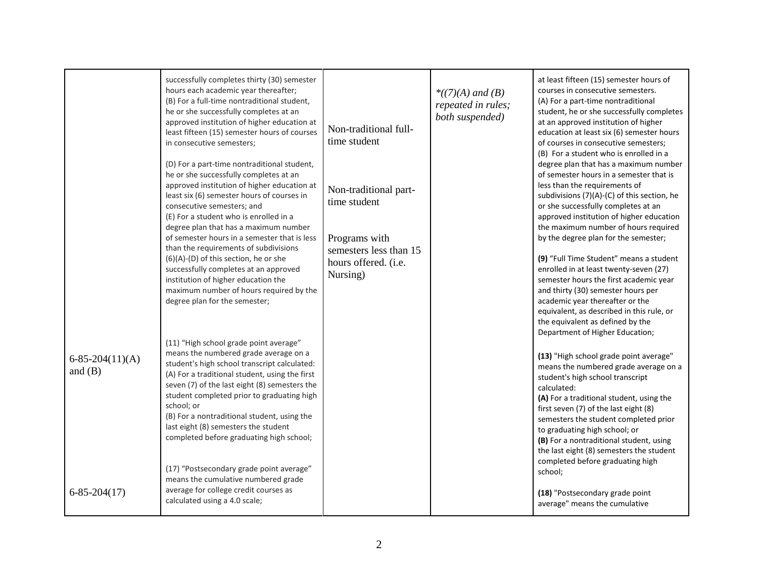| $6-85-204(11)(A)$<br>and $(B)$ | successfully completes thirty (30) semester<br>hours each academic year thereafter;<br>(B) For a full-time nontraditional student,<br>he or she successfully completes at an<br>approved institution of higher education at<br>least fifteen (15) semester hours of courses<br>in consecutive semesters;<br>(D) For a part-time nontraditional student,<br>he or she successfully completes at an<br>approved institution of higher education at<br>least six (6) semester hours of courses in<br>consecutive semesters; and<br>(E) For a student who is enrolled in a<br>degree plan that has a maximum number<br>of semester hours in a semester that is less<br>than the requirements of subdivisions<br>(6)(A)-(D) of this section, he or she<br>successfully completes at an approved<br>institution of higher education the<br>maximum number of hours required by the<br>degree plan for the semester;<br>(11) "High school grade point average"<br>means the numbered grade average on a<br>student's high school transcript calculated:<br>(A) For a traditional student, using the first<br>seven (7) of the last eight (8) semesters the<br>student completed prior to graduating high<br>school; or<br>(B) For a nontraditional student, using the<br>last eight (8) semesters the student<br>completed before graduating high school;<br>(17) "Postsecondary grade point average"<br>means the cumulative numbered grade<br>average for college credit courses as | Non-traditional full-<br>time student<br>Non-traditional part-<br>time student<br>Programs with<br>semesters less than 15<br>hours offered. (i.e.<br>Nursing) | $*(7)(A)$ and (B)<br>repeated in rules;<br>both suspended) | at least fifteen (15) semester hours of<br>courses in consecutive semesters.<br>(A) For a part-time nontraditional<br>student, he or she successfully completes<br>at an approved institution of higher<br>education at least six (6) semester hours<br>of courses in consecutive semesters;<br>(B) For a student who is enrolled in a<br>degree plan that has a maximum number<br>of semester hours in a semester that is<br>less than the requirements of<br>subdivisions (7)(A)-(C) of this section, he<br>or she successfully completes at an<br>approved institution of higher education<br>the maximum number of hours required<br>by the degree plan for the semester;<br>(9) "Full Time Student" means a student<br>enrolled in at least twenty-seven (27)<br>semester hours the first academic year<br>and thirty (30) semester hours per<br>academic year thereafter or the<br>equivalent, as described in this rule, or<br>the equivalent as defined by the<br>Department of Higher Education;<br>(13) "High school grade point average"<br>means the numbered grade average on a<br>student's high school transcript<br>calculated:<br>(A) For a traditional student, using the<br>first seven (7) of the last eight (8)<br>semesters the student completed prior<br>to graduating high school; or<br>(B) For a nontraditional student, using<br>the last eight (8) semesters the student<br>completed before graduating high<br>school; |
|--------------------------------|--------------------------------------------------------------------------------------------------------------------------------------------------------------------------------------------------------------------------------------------------------------------------------------------------------------------------------------------------------------------------------------------------------------------------------------------------------------------------------------------------------------------------------------------------------------------------------------------------------------------------------------------------------------------------------------------------------------------------------------------------------------------------------------------------------------------------------------------------------------------------------------------------------------------------------------------------------------------------------------------------------------------------------------------------------------------------------------------------------------------------------------------------------------------------------------------------------------------------------------------------------------------------------------------------------------------------------------------------------------------------------------------------------------------------------------------------------------------------------|---------------------------------------------------------------------------------------------------------------------------------------------------------------|------------------------------------------------------------|------------------------------------------------------------------------------------------------------------------------------------------------------------------------------------------------------------------------------------------------------------------------------------------------------------------------------------------------------------------------------------------------------------------------------------------------------------------------------------------------------------------------------------------------------------------------------------------------------------------------------------------------------------------------------------------------------------------------------------------------------------------------------------------------------------------------------------------------------------------------------------------------------------------------------------------------------------------------------------------------------------------------------------------------------------------------------------------------------------------------------------------------------------------------------------------------------------------------------------------------------------------------------------------------------------------------------------------------------------------------------------------------------------------------------------------------------|
| $6 - 85 - 204(17)$             | calculated using a 4.0 scale;                                                                                                                                                                                                                                                                                                                                                                                                                                                                                                                                                                                                                                                                                                                                                                                                                                                                                                                                                                                                                                                                                                                                                                                                                                                                                                                                                                                                                                                  |                                                                                                                                                               |                                                            | (18) "Postsecondary grade point<br>average" means the cumulative                                                                                                                                                                                                                                                                                                                                                                                                                                                                                                                                                                                                                                                                                                                                                                                                                                                                                                                                                                                                                                                                                                                                                                                                                                                                                                                                                                                     |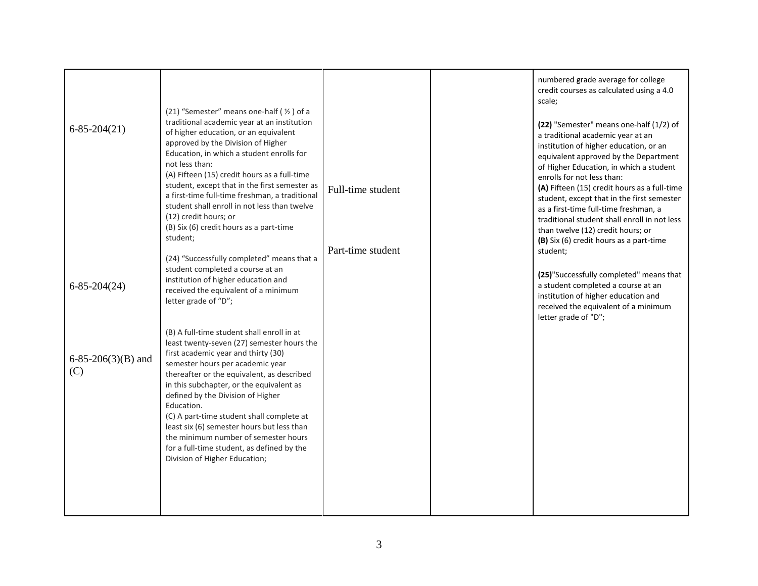| $6 - 85 - 204(21)$        | (21) "Semester" means one-half ( 1/2 ) of a<br>traditional academic year at an institution<br>of higher education, or an equivalent<br>approved by the Division of Higher<br>Education, in which a student enrolls for<br>not less than:<br>(A) Fifteen (15) credit hours as a full-time<br>student, except that in the first semester as<br>a first-time full-time freshman, a traditional<br>student shall enroll in not less than twelve<br>(12) credit hours; or<br>(B) Six (6) credit hours as a part-time<br>student;<br>(24) "Successfully completed" means that a | Full-time student<br>Part-time student | numbered grade average for college<br>credit courses as calculated using a 4.0<br>scale;<br>(22) "Semester" means one-half (1/2) of<br>a traditional academic year at an<br>institution of higher education, or an<br>equivalent approved by the Department<br>of Higher Education, in which a student<br>enrolls for not less than:<br>(A) Fifteen (15) credit hours as a full-time<br>student, except that in the first semester<br>as a first-time full-time freshman, a<br>traditional student shall enroll in not less<br>than twelve (12) credit hours; or<br>(B) Six (6) credit hours as a part-time<br>student; |
|---------------------------|---------------------------------------------------------------------------------------------------------------------------------------------------------------------------------------------------------------------------------------------------------------------------------------------------------------------------------------------------------------------------------------------------------------------------------------------------------------------------------------------------------------------------------------------------------------------------|----------------------------------------|-------------------------------------------------------------------------------------------------------------------------------------------------------------------------------------------------------------------------------------------------------------------------------------------------------------------------------------------------------------------------------------------------------------------------------------------------------------------------------------------------------------------------------------------------------------------------------------------------------------------------|
| $6 - 85 - 204(24)$        | student completed a course at an<br>institution of higher education and<br>received the equivalent of a minimum<br>letter grade of "D";                                                                                                                                                                                                                                                                                                                                                                                                                                   |                                        | (25) "Successfully completed" means that<br>a student completed a course at an<br>institution of higher education and<br>received the equivalent of a minimum<br>letter grade of "D";                                                                                                                                                                                                                                                                                                                                                                                                                                   |
| 6-85-206(3)(B) and<br>(C) | (B) A full-time student shall enroll in at<br>least twenty-seven (27) semester hours the<br>first academic year and thirty (30)<br>semester hours per academic year<br>thereafter or the equivalent, as described<br>in this subchapter, or the equivalent as<br>defined by the Division of Higher<br>Education.<br>(C) A part-time student shall complete at<br>least six (6) semester hours but less than<br>the minimum number of semester hours<br>for a full-time student, as defined by the<br>Division of Higher Education;                                        |                                        |                                                                                                                                                                                                                                                                                                                                                                                                                                                                                                                                                                                                                         |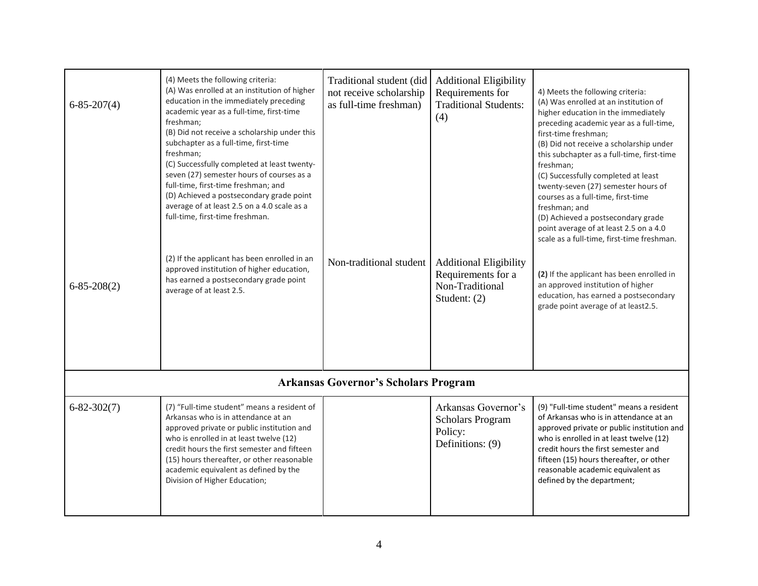| $6 - 85 - 207(4)$<br>$6 - 85 - 208(2)$ | (4) Meets the following criteria:<br>(A) Was enrolled at an institution of higher<br>education in the immediately preceding<br>academic year as a full-time, first-time<br>freshman;<br>(B) Did not receive a scholarship under this<br>subchapter as a full-time, first-time<br>freshman;<br>(C) Successfully completed at least twenty-<br>seven (27) semester hours of courses as a<br>full-time, first-time freshman; and<br>(D) Achieved a postsecondary grade point<br>average of at least 2.5 on a 4.0 scale as a<br>full-time, first-time freshman.<br>(2) If the applicant has been enrolled in an<br>approved institution of higher education,<br>has earned a postsecondary grade point<br>average of at least 2.5. | Traditional student (did<br>not receive scholarship<br>as full-time freshman)<br>Non-traditional student | <b>Additional Eligibility</b><br>Requirements for<br><b>Traditional Students:</b><br>(4)<br><b>Additional Eligibility</b><br>Requirements for a<br>Non-Traditional<br>Student: $(2)$ | 4) Meets the following criteria:<br>(A) Was enrolled at an institution of<br>higher education in the immediately<br>preceding academic year as a full-time,<br>first-time freshman;<br>(B) Did not receive a scholarship under<br>this subchapter as a full-time, first-time<br>freshman;<br>(C) Successfully completed at least<br>twenty-seven (27) semester hours of<br>courses as a full-time, first-time<br>freshman; and<br>(D) Achieved a postsecondary grade<br>point average of at least 2.5 on a 4.0<br>scale as a full-time, first-time freshman.<br>(2) If the applicant has been enrolled in<br>an approved institution of higher<br>education, has earned a postsecondary<br>grade point average of at least2.5. |
|----------------------------------------|--------------------------------------------------------------------------------------------------------------------------------------------------------------------------------------------------------------------------------------------------------------------------------------------------------------------------------------------------------------------------------------------------------------------------------------------------------------------------------------------------------------------------------------------------------------------------------------------------------------------------------------------------------------------------------------------------------------------------------|----------------------------------------------------------------------------------------------------------|--------------------------------------------------------------------------------------------------------------------------------------------------------------------------------------|--------------------------------------------------------------------------------------------------------------------------------------------------------------------------------------------------------------------------------------------------------------------------------------------------------------------------------------------------------------------------------------------------------------------------------------------------------------------------------------------------------------------------------------------------------------------------------------------------------------------------------------------------------------------------------------------------------------------------------|
|                                        |                                                                                                                                                                                                                                                                                                                                                                                                                                                                                                                                                                                                                                                                                                                                | <b>Arkansas Governor's Scholars Program</b>                                                              |                                                                                                                                                                                      |                                                                                                                                                                                                                                                                                                                                                                                                                                                                                                                                                                                                                                                                                                                                |
| $6 - 82 - 302(7)$                      | (7) "Full-time student" means a resident of<br>Arkansas who is in attendance at an<br>approved private or public institution and<br>who is enrolled in at least twelve (12)<br>credit hours the first semester and fifteen<br>(15) hours thereafter, or other reasonable<br>academic equivalent as defined by the<br>Division of Higher Education;                                                                                                                                                                                                                                                                                                                                                                             |                                                                                                          | Arkansas Governor's<br><b>Scholars Program</b><br>Policy:<br>Definitions: (9)                                                                                                        | (9) "Full-time student" means a resident<br>of Arkansas who is in attendance at an<br>approved private or public institution and<br>who is enrolled in at least twelve (12)<br>credit hours the first semester and<br>fifteen (15) hours thereafter, or other<br>reasonable academic equivalent as<br>defined by the department;                                                                                                                                                                                                                                                                                                                                                                                               |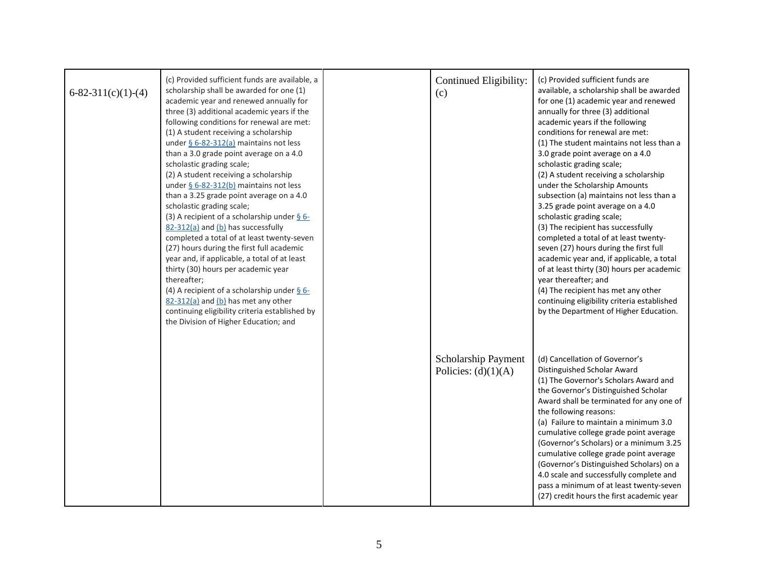| $6 - 82 - 311(c)(1) - (4)$ | (c) Provided sufficient funds are available, a<br>scholarship shall be awarded for one (1)<br>academic year and renewed annually for<br>three (3) additional academic years if the<br>following conditions for renewal are met:<br>(1) A student receiving a scholarship<br>under $§$ 6-82-312(a) maintains not less<br>than a 3.0 grade point average on a 4.0<br>scholastic grading scale;<br>(2) A student receiving a scholarship<br>under $6 - 82 - 312(b)$ maintains not less<br>than a 3.25 grade point average on a 4.0<br>scholastic grading scale;<br>(3) A recipient of a scholarship under $\S$ 6-<br>82-312(a) and (b) has successfully<br>completed a total of at least twenty-seven<br>(27) hours during the first full academic<br>year and, if applicable, a total of at least<br>thirty (30) hours per academic year<br>thereafter;<br>(4) A recipient of a scholarship under $\S$ 6-<br>82-312(a) and (b) has met any other<br>continuing eligibility criteria established by<br>the Division of Higher Education; and | Continued Eligibility:<br>(c)                | (c) Provided sufficient funds are<br>available, a scholarship shall be awarded<br>for one (1) academic year and renewed<br>annually for three (3) additional<br>academic years if the following<br>conditions for renewal are met:<br>(1) The student maintains not less than a<br>3.0 grade point average on a 4.0<br>scholastic grading scale;<br>(2) A student receiving a scholarship<br>under the Scholarship Amounts<br>subsection (a) maintains not less than a<br>3.25 grade point average on a 4.0<br>scholastic grading scale;<br>(3) The recipient has successfully<br>completed a total of at least twenty-<br>seven (27) hours during the first full<br>academic year and, if applicable, a total<br>of at least thirty (30) hours per academic<br>year thereafter; and<br>(4) The recipient has met any other<br>continuing eligibility criteria established<br>by the Department of Higher Education. |
|----------------------------|-------------------------------------------------------------------------------------------------------------------------------------------------------------------------------------------------------------------------------------------------------------------------------------------------------------------------------------------------------------------------------------------------------------------------------------------------------------------------------------------------------------------------------------------------------------------------------------------------------------------------------------------------------------------------------------------------------------------------------------------------------------------------------------------------------------------------------------------------------------------------------------------------------------------------------------------------------------------------------------------------------------------------------------------|----------------------------------------------|----------------------------------------------------------------------------------------------------------------------------------------------------------------------------------------------------------------------------------------------------------------------------------------------------------------------------------------------------------------------------------------------------------------------------------------------------------------------------------------------------------------------------------------------------------------------------------------------------------------------------------------------------------------------------------------------------------------------------------------------------------------------------------------------------------------------------------------------------------------------------------------------------------------------|
|                            |                                                                                                                                                                                                                                                                                                                                                                                                                                                                                                                                                                                                                                                                                                                                                                                                                                                                                                                                                                                                                                           | Scholarship Payment<br>Policies: $(d)(1)(A)$ | (d) Cancellation of Governor's<br>Distinguished Scholar Award<br>(1) The Governor's Scholars Award and<br>the Governor's Distinguished Scholar<br>Award shall be terminated for any one of<br>the following reasons:<br>(a) Failure to maintain a minimum 3.0<br>cumulative college grade point average<br>(Governor's Scholars) or a minimum 3.25<br>cumulative college grade point average<br>(Governor's Distinguished Scholars) on a<br>4.0 scale and successfully complete and<br>pass a minimum of at least twenty-seven<br>(27) credit hours the first academic year                                                                                                                                                                                                                                                                                                                                          |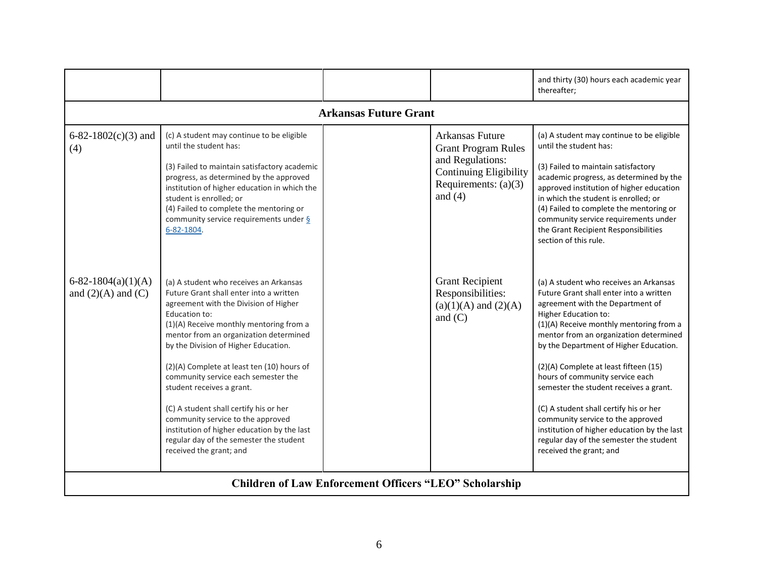|                                                               |                                                                                                                                                                                                                                                                                                                                                                                                                                                                                                                                                                                                |  |                                                                                                                                                  | and thirty (30) hours each academic year<br>thereafter;                                                                                                                                                                                                                                                                                                                                                                                                                                                                                                                                                       |  |
|---------------------------------------------------------------|------------------------------------------------------------------------------------------------------------------------------------------------------------------------------------------------------------------------------------------------------------------------------------------------------------------------------------------------------------------------------------------------------------------------------------------------------------------------------------------------------------------------------------------------------------------------------------------------|--|--------------------------------------------------------------------------------------------------------------------------------------------------|---------------------------------------------------------------------------------------------------------------------------------------------------------------------------------------------------------------------------------------------------------------------------------------------------------------------------------------------------------------------------------------------------------------------------------------------------------------------------------------------------------------------------------------------------------------------------------------------------------------|--|
| <b>Arkansas Future Grant</b>                                  |                                                                                                                                                                                                                                                                                                                                                                                                                                                                                                                                                                                                |  |                                                                                                                                                  |                                                                                                                                                                                                                                                                                                                                                                                                                                                                                                                                                                                                               |  |
| 6-82-1802(c)(3) and<br>(4)                                    | (c) A student may continue to be eligible<br>until the student has:<br>(3) Failed to maintain satisfactory academic<br>progress, as determined by the approved<br>institution of higher education in which the<br>student is enrolled; or<br>(4) Failed to complete the mentoring or<br>community service requirements under §<br>6-82-1804.                                                                                                                                                                                                                                                   |  | <b>Arkansas Future</b><br><b>Grant Program Rules</b><br>and Regulations:<br><b>Continuing Eligibility</b><br>Requirements: $(a)(3)$<br>and $(4)$ | (a) A student may continue to be eligible<br>until the student has:<br>(3) Failed to maintain satisfactory<br>academic progress, as determined by the<br>approved institution of higher education<br>in which the student is enrolled; or<br>(4) Failed to complete the mentoring or<br>community service requirements under<br>the Grant Recipient Responsibilities<br>section of this rule.                                                                                                                                                                                                                 |  |
| $6-82-1804(a)(1)(A)$<br>and $(2)(A)$ and $(C)$                | (a) A student who receives an Arkansas<br>Future Grant shall enter into a written<br>agreement with the Division of Higher<br>Education to:<br>(1)(A) Receive monthly mentoring from a<br>mentor from an organization determined<br>by the Division of Higher Education.<br>(2)(A) Complete at least ten (10) hours of<br>community service each semester the<br>student receives a grant.<br>(C) A student shall certify his or her<br>community service to the approved<br>institution of higher education by the last<br>regular day of the semester the student<br>received the grant; and |  | <b>Grant Recipient</b><br>Responsibilities:<br>$(a)(1)(A)$ and $(2)(A)$<br>and $(C)$                                                             | (a) A student who receives an Arkansas<br>Future Grant shall enter into a written<br>agreement with the Department of<br><b>Higher Education to:</b><br>(1)(A) Receive monthly mentoring from a<br>mentor from an organization determined<br>by the Department of Higher Education.<br>(2)(A) Complete at least fifteen (15)<br>hours of community service each<br>semester the student receives a grant.<br>(C) A student shall certify his or her<br>community service to the approved<br>institution of higher education by the last<br>regular day of the semester the student<br>received the grant; and |  |
| <b>Children of Law Enforcement Officers "LEO" Scholarship</b> |                                                                                                                                                                                                                                                                                                                                                                                                                                                                                                                                                                                                |  |                                                                                                                                                  |                                                                                                                                                                                                                                                                                                                                                                                                                                                                                                                                                                                                               |  |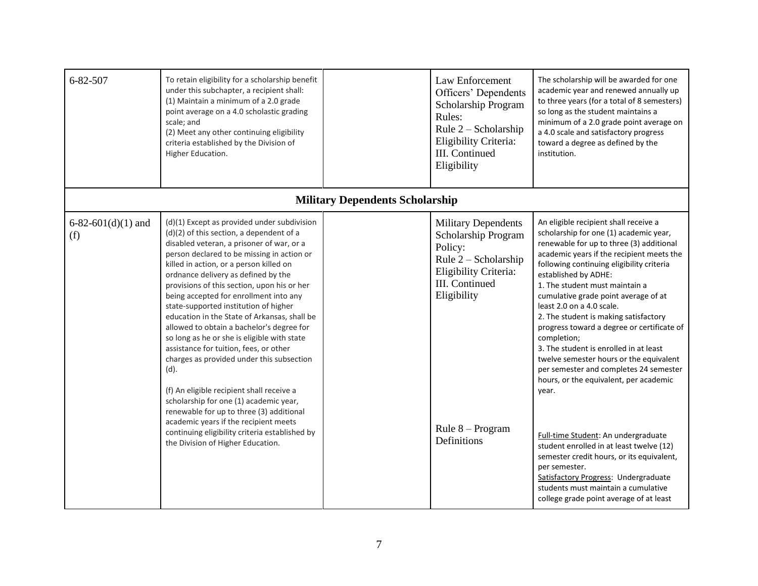| 6-82-507                     | To retain eligibility for a scholarship benefit<br>under this subchapter, a recipient shall:<br>(1) Maintain a minimum of a 2.0 grade<br>point average on a 4.0 scholastic grading<br>scale; and<br>(2) Meet any other continuing eligibility<br>criteria established by the Division of<br>Higher Education.                                                                                                                                                                                                                                                                                                                                                                                                                                                                                                                                                                                                        |                                        | Law Enforcement<br>Officers' Dependents<br>Scholarship Program<br>Rules:<br>Rule $2$ – Scholarship<br>Eligibility Criteria:<br>III. Continued<br>Eligibility                        | The scholarship will be awarded for one<br>academic year and renewed annually up<br>to three years (for a total of 8 semesters)<br>so long as the student maintains a<br>minimum of a 2.0 grade point average on<br>a 4.0 scale and satisfactory progress<br>toward a degree as defined by the<br>institution.                                                                                                                                                                                                                                                                                                                                                                                                                                                                                                                                                                                                          |
|------------------------------|----------------------------------------------------------------------------------------------------------------------------------------------------------------------------------------------------------------------------------------------------------------------------------------------------------------------------------------------------------------------------------------------------------------------------------------------------------------------------------------------------------------------------------------------------------------------------------------------------------------------------------------------------------------------------------------------------------------------------------------------------------------------------------------------------------------------------------------------------------------------------------------------------------------------|----------------------------------------|-------------------------------------------------------------------------------------------------------------------------------------------------------------------------------------|-------------------------------------------------------------------------------------------------------------------------------------------------------------------------------------------------------------------------------------------------------------------------------------------------------------------------------------------------------------------------------------------------------------------------------------------------------------------------------------------------------------------------------------------------------------------------------------------------------------------------------------------------------------------------------------------------------------------------------------------------------------------------------------------------------------------------------------------------------------------------------------------------------------------------|
|                              |                                                                                                                                                                                                                                                                                                                                                                                                                                                                                                                                                                                                                                                                                                                                                                                                                                                                                                                      | <b>Military Dependents Scholarship</b> |                                                                                                                                                                                     |                                                                                                                                                                                                                                                                                                                                                                                                                                                                                                                                                                                                                                                                                                                                                                                                                                                                                                                         |
| 6-82-601 $(d)(1)$ and<br>(f) | (d)(1) Except as provided under subdivision<br>(d)(2) of this section, a dependent of a<br>disabled veteran, a prisoner of war, or a<br>person declared to be missing in action or<br>killed in action, or a person killed on<br>ordnance delivery as defined by the<br>provisions of this section, upon his or her<br>being accepted for enrollment into any<br>state-supported institution of higher<br>education in the State of Arkansas, shall be<br>allowed to obtain a bachelor's degree for<br>so long as he or she is eligible with state<br>assistance for tuition, fees, or other<br>charges as provided under this subsection<br>(d).<br>(f) An eligible recipient shall receive a<br>scholarship for one (1) academic year,<br>renewable for up to three (3) additional<br>academic years if the recipient meets<br>continuing eligibility criteria established by<br>the Division of Higher Education. |                                        | <b>Military Dependents</b><br>Scholarship Program<br>Policy:<br>Rule 2 – Scholarship<br>Eligibility Criteria:<br>III. Continued<br>Eligibility<br>Rule $8 - Program$<br>Definitions | An eligible recipient shall receive a<br>scholarship for one (1) academic year,<br>renewable for up to three (3) additional<br>academic years if the recipient meets the<br>following continuing eligibility criteria<br>established by ADHE:<br>1. The student must maintain a<br>cumulative grade point average of at<br>least 2.0 on a 4.0 scale.<br>2. The student is making satisfactory<br>progress toward a degree or certificate of<br>completion;<br>3. The student is enrolled in at least<br>twelve semester hours or the equivalent<br>per semester and completes 24 semester<br>hours, or the equivalent, per academic<br>year.<br>Full-time Student: An undergraduate<br>student enrolled in at least twelve (12)<br>semester credit hours, or its equivalent,<br>per semester.<br>Satisfactory Progress: Undergraduate<br>students must maintain a cumulative<br>college grade point average of at least |